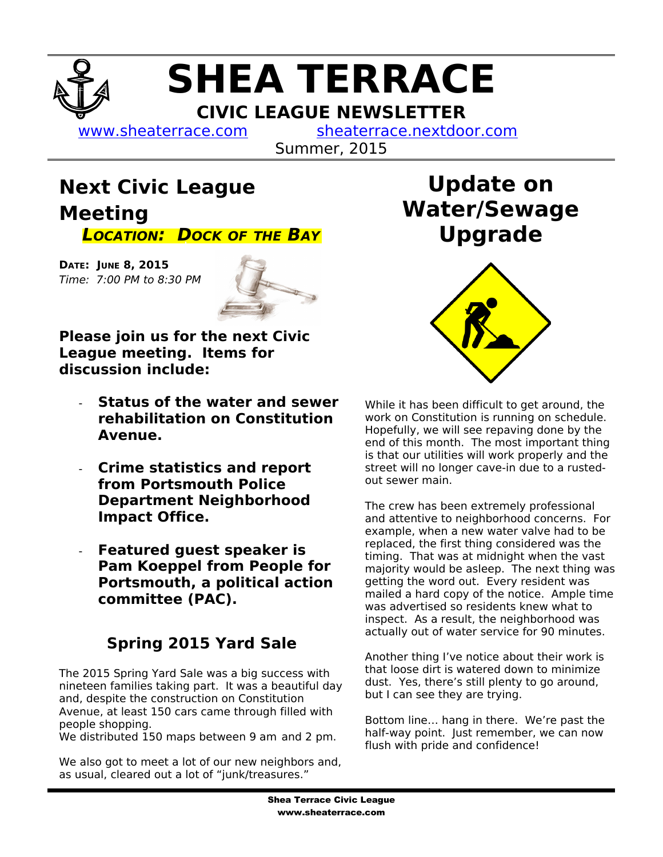# **SHEA TERRACE CIVIC LEAGUE NEWSLETTER**

[www.sheaterrace.com](http://www.sheaterrace.com/) [sheaterrace.nextdoor.com](http://sheaterrace.nextdoor.com/)

Summer, 2015

## **Next Civic League Meeting LOCATION: DOCK OF THE BAY**

**DATE: JUNE 8, 2015**  Time: 7:00 PM to 8:30 PM



**Please join us for the next Civic League meeting. Items for discussion include:**

- **Status of the water and sewer rehabilitation on Constitution Avenue.**
- **Crime statistics and report from Portsmouth Police Department Neighborhood Impact Office.**
- **Featured guest speaker is Pam Koeppel from People for Portsmouth, a political action committee (PAC).**

### **Spring 2015 Yard Sale**

The 2015 Spring Yard Sale was a big success with nineteen families taking part. It was a beautiful day and, despite the construction on Constitution Avenue, at least 150 cars came through filled with people shopping.

We distributed 150 maps between 9 am and 2 pm.

We also got to meet a lot of our new neighbors and, as usual, cleared out a lot of "junk/treasures."

# **Update on Water/Sewage Upgrade**



While it has been difficult to get around, the work on Constitution is running on schedule. Hopefully, we will see repaving done by the end of this month. The most important thing is that our utilities will work properly and the street will no longer cave-in due to a rustedout sewer main.

The crew has been extremely professional and attentive to neighborhood concerns. For example, when a new water valve had to be replaced, the first thing considered was the timing. That was at midnight when the vast majority would be asleep. The next thing was getting the word out. Every resident was mailed a hard copy of the notice. Ample time was advertised so residents knew what to inspect. As a result, the neighborhood was actually out of water service for 90 minutes.

Another thing I've notice about their work is that loose dirt is watered down to minimize dust. Yes, there's still plenty to go around, but I can see they are trying.

Bottom line… hang in there. We're past the half-way point. Just remember, we can now flush with pride and confidence!